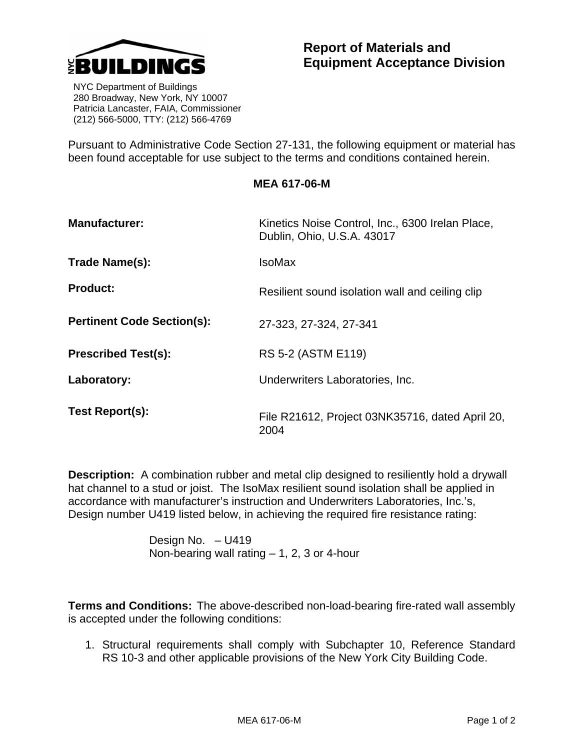

 NYC Department of Buildings 280 Broadway, New York, NY 10007 Patricia Lancaster, FAIA, Commissioner (212) 566-5000, TTY: (212) 566-4769

Pursuant to Administrative Code Section 27-131, the following equipment or material has been found acceptable for use subject to the terms and conditions contained herein.

## **MEA 617-06-M**

| <b>Manufacturer:</b>              | Kinetics Noise Control, Inc., 6300 Irelan Place,<br>Dublin, Ohio, U.S.A. 43017 |  |
|-----------------------------------|--------------------------------------------------------------------------------|--|
| Trade Name(s):                    | IsoMax                                                                         |  |
| <b>Product:</b>                   | Resilient sound isolation wall and ceiling clip                                |  |
| <b>Pertinent Code Section(s):</b> | 27-323, 27-324, 27-341                                                         |  |
| <b>Prescribed Test(s):</b>        | RS 5-2 (ASTM E119)                                                             |  |
| Laboratory:                       | Underwriters Laboratories, Inc.                                                |  |
| Test Report(s):                   | File R21612, Project 03NK35716, dated April 20,<br>2004                        |  |

**Description:** A combination rubber and metal clip designed to resiliently hold a drywall hat channel to a stud or joist. The IsoMax resilient sound isolation shall be applied in accordance with manufacturer's instruction and Underwriters Laboratories, Inc.'s, Design number U419 listed below, in achieving the required fire resistance rating:

> Design No. – U419 Non-bearing wall rating  $-1$ , 2, 3 or 4-hour

**Terms and Conditions:** The above-described non-load-bearing fire-rated wall assembly is accepted under the following conditions:

1. Structural requirements shall comply with Subchapter 10, Reference Standard RS 10-3 and other applicable provisions of the New York City Building Code.